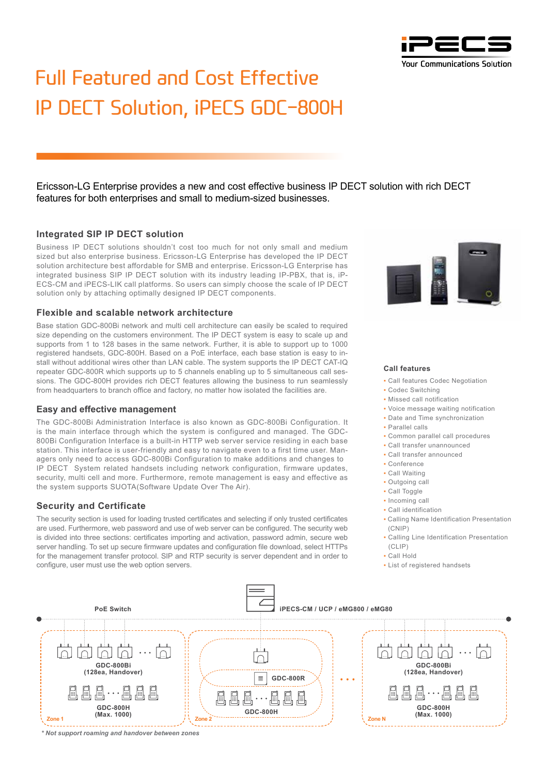

# Full Featured and Cost Effective IP DECT Solution, iPECS GDC-800H

Ericsson-LG Enterprise provides a new and cost effective business IP DECT solution with rich DECT features for both enterprises and small to medium-sized businesses.

### **Integrated SIP IP DECT solution**

Business IP DECT solutions shouldn't cost too much for not only small and medium sized but also enterprise business. Ericsson-LG Enterprise has developed the IP DECT solution architecture best affordable for SMB and enterprise. Ericsson-LG Enterprise has integrated business SIP IP DECT solution with its industry leading IP-PBX, that is, iP-ECS-CM and iPECS-LIK call platforms. So users can simply choose the scale of IP DECT solution only by attaching optimally designed IP DECT components.

#### **Flexible and scalable network architecture**

Base station GDC-800Bi network and multi cell architecture can easily be scaled to required size depending on the customers environment. The IP DECT system is easy to scale up and supports from 1 to 128 bases in the same network. Further, it is able to support up to 1000 registered handsets, GDC-800H. Based on a PoE interface, each base station is easy to install without additional wires other than LAN cable. The system supports the IP DECT CAT-IQ repeater GDC-800R which supports up to 5 channels enabling up to 5 simultaneous call sessions. The GDC-800H provides rich DECT features allowing the business to run seamlessly from headquarters to branch office and factory, no matter how isolated the facilities are.

#### **Easy and effective management**

The GDC-800Bi Administration Interface is also known as GDC-800Bi Configuration. It is the main interface through which the system is configured and managed. The GDC-800Bi Configuration Interface is a built-in HTTP web server service residing in each base station. This interface is user-friendly and easy to navigate even to a first time user. Managers only need to access GDC-800Bi Configuration to make additions and changes to IP DECT System related handsets including network configuration, firmware updates, security, multi cell and more. Furthermore, remote management is easy and effective as the system supports SUOTA(Software Update Over The Air).

#### **Security and Certificate**

The security section is used for loading trusted certificates and selecting if only trusted certificates are used. Furthermore, web password and use of web server can be configured. The security web is divided into three sections: certificates importing and activation, password admin, secure web server handling. To set up secure firmware updates and configuration file download, select HTTPs for the management transfer protocol. SIP and RTP security is server dependent and in order to configure, user must use the web option servers.



#### **Call features**

- Call features Codec Negotiation
- Codec Switching
- Missed call notification
- Voice message waiting notification
- Date and Time synchronization
- Parallel calls
- Common parallel call procedures
- Call transfer unannounced
- Call transfer announced
- Conference
- Call Waiting
- Outgoing call
- Call Toggle
- 
- Incoming call
- Call identification
- Calling Name Identification Presentation (CNIP)
- Calling Line Identification Presentation (CLIP)
- Call Hold
- List of registered handsets



*\* Not support roaming and handover between zones*